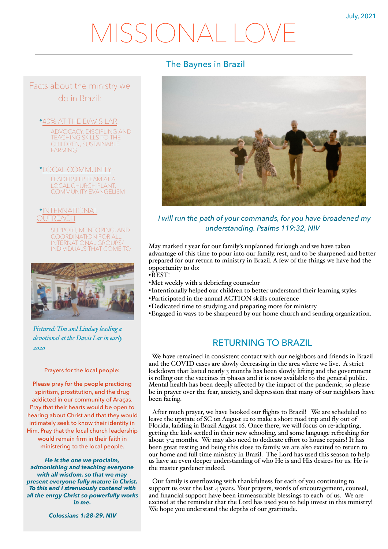# MISSIONAL LC

## The Baynes in Brazil



*I will run the path of your commands, for you have broadened my understanding. Psalms 119:32, NIV*

May marked 1 year for our family's unplanned furlough and we have taken advantage of this time to pour into our family, rest, and to be sharpened and better prepared for our return to ministry in Brazil. A few of the things we have had the opportunity to do:

- •REST!
- •Met weekly with a debriefing counselor
- •Intentionally helped our children to better understand their learning styles
- •Participated in the annual ACTION skills conference
- •Dedicated time to studying and preparing more for ministry
- •Engaged in ways to be sharpened by our home church and sending organization.

### RETURNING TO BRAZIL

 We have remained in consistent contact with our neighbors and friends in Brazil and the COVID cases are slowly decreasing in the area where we live. A strict lockdown that lasted nearly 3 months has been slowly lifting and the government is rolling out the vaccines in phases and it is now available to the general public. Mental health has been deeply affected by the impact of the pandemic, so please be in prayer over the fear, anxiety, and depression that many of our neighbors have been facing.

After much prayer, we have booked our flights to Brazil! We are scheduled to leave the upstate of SC on August 12 to make a short road trip and fly out of Florida, landing in Brazil August 16. Once there, we will focus on re-adapting, getting the kids settled in their new schooling, and some language refreshing for about 3-4 months. We may also need to dedicate effort to house repairs! It has been great resting and being this close to family, we are also excited to return to our home and full time ministry in Brazil. The Lord has used this season to help us have an even deeper understanding of who He is and His desires for us. He is the master gardener indeed.

Our family is overflowing with thankfulness for each of you continuing to support us over the last 4 years. Your prayers, words of encouragement, counsel, and financial support have been immeasurable blessings to each of us. We are excited at the reminder that the Lord has used you to help invest in this ministry! We hope you understand the depths of our grattitude.

Facts about the ministry we do in Brazil:

•40% AT THE DAVIS LAR

ADVOCACY, DISCIPLING AND TEACHING SKILLS TO THE CHILDREN, SUSTAINABLE FARMING

•LOCAL COMMUNITY LEADERSHIP TEAM AT A LOCAL CHURCH PLANT COMMUNITY EVANGELISM

•INTERNATIONAL **JTRFACH** 

> SUPPORT, MENTORING, AND COORDINATION FOR ALL INTERNATIONAL GROUPS/ INDIVIDUALS THAT COME TO



*Pictured: Tim and Lindsey leading a devotional at the Davis Lar in early 2020*

Prayers for the local people:

Please pray for the people practicing spiritism, prostitution, and the drug addicted in our community of Araças. Pray that their hearts would be open to hearing about Christ and that they would intimately seek to know their identity in Him. Pray that the local church leadership would remain firm in their faith in ministering to the local people.

*He is the one we proclaim, admonishing and teaching everyone with all wisdom, so that we may present everyone fully mature in Christ. To this end I strenuously contend with all the enrgy Christ so powerfully works in me.* 

*Colossians 1:28-29, NIV*